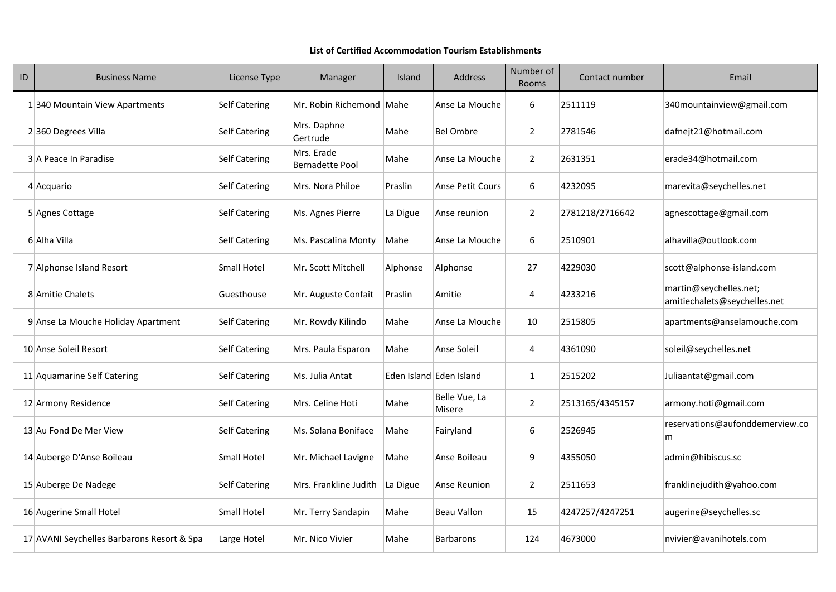| ID | <b>Business Name</b>                       | License Type         | Manager                              | Island   | <b>Address</b>                 | Number of<br><b>Rooms</b> | Contact number  | Email                                                  |
|----|--------------------------------------------|----------------------|--------------------------------------|----------|--------------------------------|---------------------------|-----------------|--------------------------------------------------------|
|    | 1340 Mountain View Apartments              | <b>Self Catering</b> | Mr. Robin Richemond   Mahe           |          | Anse La Mouche                 | 6                         | 2511119         | 340 mountain view@gmail.com                            |
|    | 2360 Degrees Villa                         | <b>Self Catering</b> | Mrs. Daphne<br>Gertrude              | Mahe     | <b>Bel Ombre</b>               | $\overline{2}$            | 2781546         | dafnejt21@hotmail.com                                  |
|    | 3 A Peace In Paradise                      | <b>Self Catering</b> | Mrs. Erade<br><b>Bernadette Pool</b> | Mahe     | Anse La Mouche                 | $\overline{2}$            | 2631351         | erade34@hotmail.com                                    |
|    | $4$ Acquario                               | <b>Self Catering</b> | Mrs. Nora Philoe                     | Praslin  | <b>Anse Petit Cours</b>        | 6                         | 4232095         | marevita@seychelles.net                                |
|    | 5 Agnes Cottage                            | <b>Self Catering</b> | Ms. Agnes Pierre                     | La Digue | Anse reunion                   | $\overline{2}$            | 2781218/2716642 | agnescottage@gmail.com                                 |
|    | 6 Alha Villa                               | <b>Self Catering</b> | Ms. Pascalina Monty                  | Mahe     | Anse La Mouche                 | 6                         | 2510901         | alhavilla@outlook.com                                  |
|    | 7 Alphonse Island Resort                   | <b>Small Hotel</b>   | Mr. Scott Mitchell                   | Alphonse | Alphonse                       | 27                        | 4229030         | scott@alphonse-island.com                              |
|    | 8 Amitie Chalets                           | Guesthouse           | Mr. Auguste Confait                  | Praslin  | Amitie                         | 4                         | 4233216         | martin@seychelles.net;<br>amitiechalets@seychelles.net |
|    | 9 Anse La Mouche Holiday Apartment         | <b>Self Catering</b> | Mr. Rowdy Kilindo                    | Mahe     | Anse La Mouche                 | 10                        | 2515805         | apartments@anselamouche.com                            |
|    | 10 Anse Soleil Resort                      | <b>Self Catering</b> | Mrs. Paula Esparon                   | Mahe     | Anse Soleil                    | 4                         | 4361090         | soleil@seychelles.net                                  |
|    | 11 Aquamarine Self Catering                | <b>Self Catering</b> | Ms. Julia Antat                      |          | Eden Island Eden Island        |                           | 2515202         | Juliaantat@gmail.com                                   |
|    | 12 Armony Residence                        | <b>Self Catering</b> | Mrs. Celine Hoti                     | Mahe     | Belle Vue, La<br><b>Misere</b> | $\overline{2}$            | 2513165/4345157 | armony.hoti@gmail.com                                  |
|    | 13 Au Fond De Mer View                     | <b>Self Catering</b> | Ms. Solana Boniface                  | Mahe     | Fairyland                      | 6                         | 2526945         | reservations@aufonddemerview.co<br>m                   |
|    | 14 Auberge D'Anse Boileau                  | <b>Small Hotel</b>   | Mr. Michael Lavigne                  | Mahe     | Anse Boileau                   | 9                         | 4355050         | admin@hibiscus.sc                                      |
|    | 15 Auberge De Nadege                       | <b>Self Catering</b> | Mrs. Frankline Judith                | La Digue | Anse Reunion                   | $\overline{2}$            | 2511653         | franklinejudith@yahoo.com                              |
|    | 16 Augerine Small Hotel                    | Small Hotel          | Mr. Terry Sandapin                   | Mahe     | <b>Beau Vallon</b>             | 15                        | 4247257/4247251 | augerine@seychelles.sc                                 |
|    | 17 AVANI Seychelles Barbarons Resort & Spa | Large Hotel          | Mr. Nico Vivier                      | Mahe     | <b>Barbarons</b>               | 124                       | 4673000         | nvivier@avanihotels.com                                |

## **List of Certified Accommodation Tourism Establishments**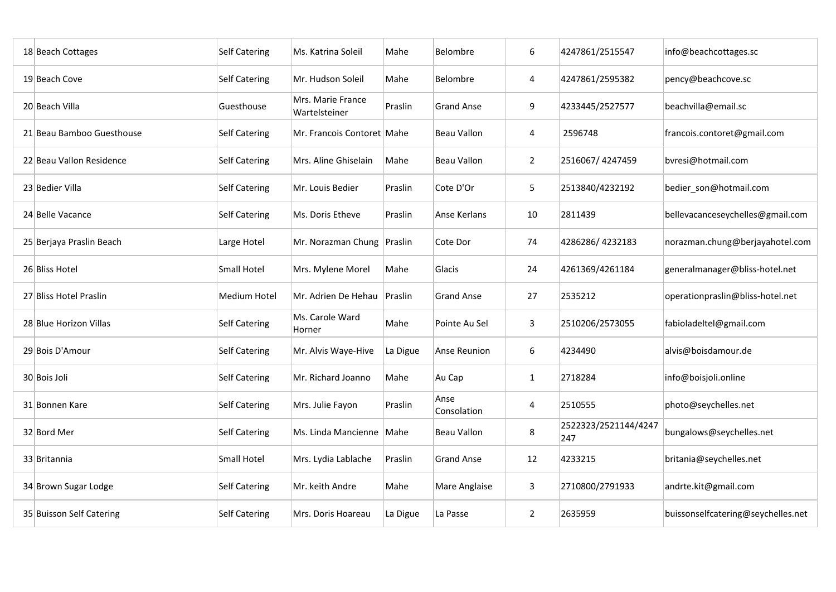| 18 Beach Cottages         | <b>Self Catering</b> | Ms. Katrina Soleil                 | Mahe     | <b>Belombre</b>     | 6              | 4247861/2515547             | info@beachcottages.sc              |
|---------------------------|----------------------|------------------------------------|----------|---------------------|----------------|-----------------------------|------------------------------------|
| 19 Beach Cove             | <b>Self Catering</b> | Mr. Hudson Soleil                  | Mahe     | <b>Belombre</b>     | 4              | 4247861/2595382             | pency@beachcove.sc                 |
| 20 Beach Villa            | Guesthouse           | Mrs. Marie France<br>Wartelsteiner | Praslin  | <b>Grand Anse</b>   | 9              | 4233445/2527577             | beachvilla@email.sc                |
| 21 Beau Bamboo Guesthouse | <b>Self Catering</b> | Mr. Francois Contoret Mahe         |          | <b>Beau Vallon</b>  | 4              | 2596748                     | francois.contoret@gmail.com        |
| 22 Beau Vallon Residence  | <b>Self Catering</b> | Mrs. Aline Ghiselain               | Mahe     | <b>Beau Vallon</b>  | $\overline{2}$ | 2516067/4247459             | bvresi@hotmail.com                 |
| 23 Bedier Villa           | <b>Self Catering</b> | Mr. Louis Bedier                   | Praslin  | Cote D'Or           | $5\phantom{.}$ | 2513840/4232192             | bedier_son@hotmail.com             |
| 24 Belle Vacance          | <b>Self Catering</b> | Ms. Doris Etheve                   | Praslin  | Anse Kerlans        | 10             | 2811439                     | bellevacanceseychelles@gmail.com   |
| 25 Berjaya Praslin Beach  | Large Hotel          | Mr. Norazman Chung                 | Praslin  | Cote Dor            | 74             | 4286286/4232183             | norazman.chung@berjayahotel.com    |
| 26 Bliss Hotel            | <b>Small Hotel</b>   | Mrs. Mylene Morel                  | Mahe     | Glacis              | 24             | 4261369/4261184             | generalmanager@bliss-hotel.net     |
| 27 Bliss Hotel Praslin    | <b>Medium Hotel</b>  | Mr. Adrien De Hehau                | Praslin  | <b>Grand Anse</b>   | 27             | 2535212                     | operationpraslin@bliss-hotel.net   |
| 28 Blue Horizon Villas    | <b>Self Catering</b> | Ms. Carole Ward<br>Horner          | Mahe     | Pointe Au Sel       | $\mathbf{3}$   | 2510206/2573055             | fabioladeltel@gmail.com            |
| 29 Bois D'Amour           | <b>Self Catering</b> | Mr. Alvis Waye-Hive                | La Digue | Anse Reunion        | 6              | 4234490                     | alvis@boisdamour.de                |
| 30 Bois Joli              | <b>Self Catering</b> | Mr. Richard Joanno                 | Mahe     | Au Cap              | $\mathbf{1}$   | 2718284                     | info@boisjoli.online               |
| 31 Bonnen Kare            | <b>Self Catering</b> | Mrs. Julie Fayon                   | Praslin  | Anse<br>Consolation | 4              | 2510555                     | photo@seychelles.net               |
| 32 Bord Mer               | <b>Self Catering</b> | Ms. Linda Mancienne                | Mahe     | <b>Beau Vallon</b>  | 8              | 2522323/2521144/4247<br>247 | bungalows@seychelles.net           |
| 33 Britannia              | <b>Small Hotel</b>   | Mrs. Lydia Lablache                | Praslin  | <b>Grand Anse</b>   | 12             | 4233215                     | britania@seychelles.net            |
| 34 Brown Sugar Lodge      | <b>Self Catering</b> | Mr. keith Andre                    | Mahe     | Mare Anglaise       | $\mathbf{3}$   | 2710800/2791933             | andrte.kit@gmail.com               |
| 35 Buisson Self Catering  | <b>Self Catering</b> | Mrs. Doris Hoareau                 | La Digue | La Passe            | $\overline{2}$ | 2635959                     | buissonselfcatering@seychelles.net |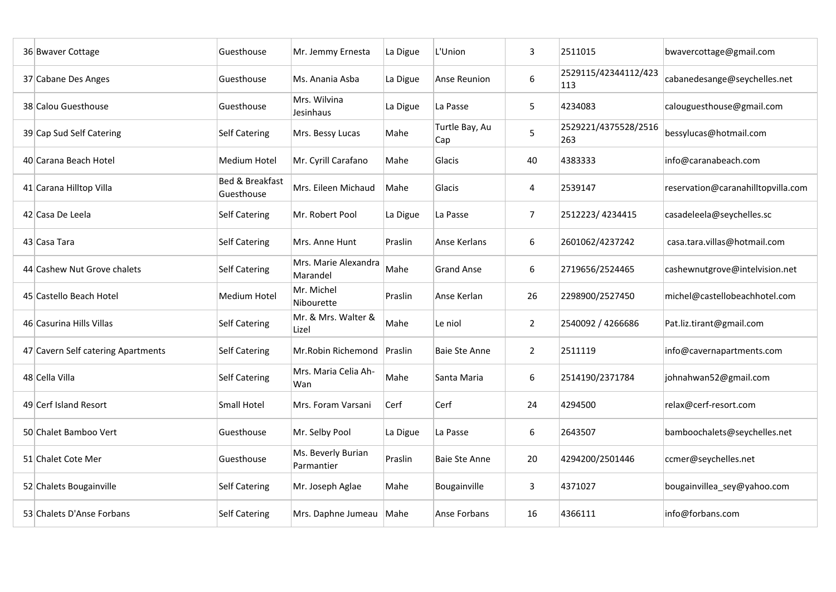| 36 Bwaver Cottage                  | Guesthouse                               | Mr. Jemmy Ernesta                | La Digue | L'Union               | 3              | 2511015                     | bwavercottage@gmail.com            |
|------------------------------------|------------------------------------------|----------------------------------|----------|-----------------------|----------------|-----------------------------|------------------------------------|
| 37 Cabane Des Anges                | Guesthouse                               | Ms. Anania Asba                  | La Digue | <b>Anse Reunion</b>   | 6              | 2529115/42344112/423<br>113 | cabanedesange@seychelles.net       |
| 38 Calou Guesthouse                | Guesthouse                               | Mrs. Wilvina<br>Jesinhaus        | La Digue | La Passe              | 5              | 4234083                     | calouguesthouse@gmail.com          |
| 39 Cap Sud Self Catering           | <b>Self Catering</b>                     | Mrs. Bessy Lucas                 | Mahe     | Turtle Bay, Au<br>Cap | 5              | 2529221/4375528/2516<br>263 | bessylucas@hotmail.com             |
| 40 Carana Beach Hotel              | Medium Hotel                             | Mr. Cyrill Carafano              | Mahe     | Glacis                | 40             | 4383333                     | info@caranabeach.com               |
| 41 Carana Hilltop Villa            | <b>Bed &amp; Breakfast</b><br>Guesthouse | Mrs. Eileen Michaud              | Mahe     | Glacis                | $\overline{a}$ | 2539147                     | reservation@caranahilltopvilla.com |
| 42 Casa De Leela                   | <b>Self Catering</b>                     | Mr. Robert Pool                  | La Digue | La Passe              | $\overline{7}$ | 2512223/4234415             | casadeleela@seychelles.sc          |
| 43 Casa Tara                       | <b>Self Catering</b>                     | Mrs. Anne Hunt                   | Praslin  | Anse Kerlans          | 6              | 2601062/4237242             | casa.tara.villas@hotmail.com       |
| 44 Cashew Nut Grove chalets        | <b>Self Catering</b>                     | Mrs. Marie Alexandra<br>Marandel | Mahe     | <b>Grand Anse</b>     | 6              | 2719656/2524465             | cashewnutgrove@intelvision.net     |
| 45 Castello Beach Hotel            | <b>Medium Hotel</b>                      | Mr. Michel<br>Nibourette         | Praslin  | Anse Kerlan           | 26             | 2298900/2527450             | michel@castellobeachhotel.com      |
| 46 Casurina Hills Villas           | <b>Self Catering</b>                     | Mr. & Mrs. Walter &<br>Lizel     | Mahe     | Le niol               | $2^{\circ}$    | 2540092 / 4266686           | Pat.liz.tirant@gmail.com           |
| 47 Cavern Self catering Apartments | <b>Self Catering</b>                     | Mr. Robin Richemond Praslin      |          | <b>Baie Ste Anne</b>  | $\overline{2}$ | 2511119                     | info@cavernapartments.com          |
| 48 Cella Villa                     | Self Catering                            | Mrs. Maria Celia Ah-<br>Wan      | Mahe     | Santa Maria           | 6              | 2514190/2371784             | johnahwan52@gmail.com              |
| 49 Cerf Island Resort              | <b>Small Hotel</b>                       | Mrs. Foram Varsani               | Cerf     | Cerf                  | 24             | 4294500                     | relax@cerf-resort.com              |
| 50 Chalet Bamboo Vert              | Guesthouse                               | Mr. Selby Pool                   | La Digue | La Passe              | 6              | 2643507                     | bamboochalets@seychelles.net       |
| 51 Chalet Cote Mer                 | Guesthouse                               | Ms. Beverly Burian<br>Parmantier | Praslin  | <b>Baie Ste Anne</b>  | 20             | 4294200/2501446             | ccmer@seychelles.net               |
| 52 Chalets Bougainville            | <b>Self Catering</b>                     | Mr. Joseph Aglae                 | Mahe     | Bougainville          | $\overline{3}$ | 4371027                     | bougainvillea_sey@yahoo.com        |
| 53 Chalets D'Anse Forbans          | <b>Self Catering</b>                     | Mrs. Daphne Jumeau               | Mahe     | Anse Forbans          | 16             | 4366111                     | info@forbans.com                   |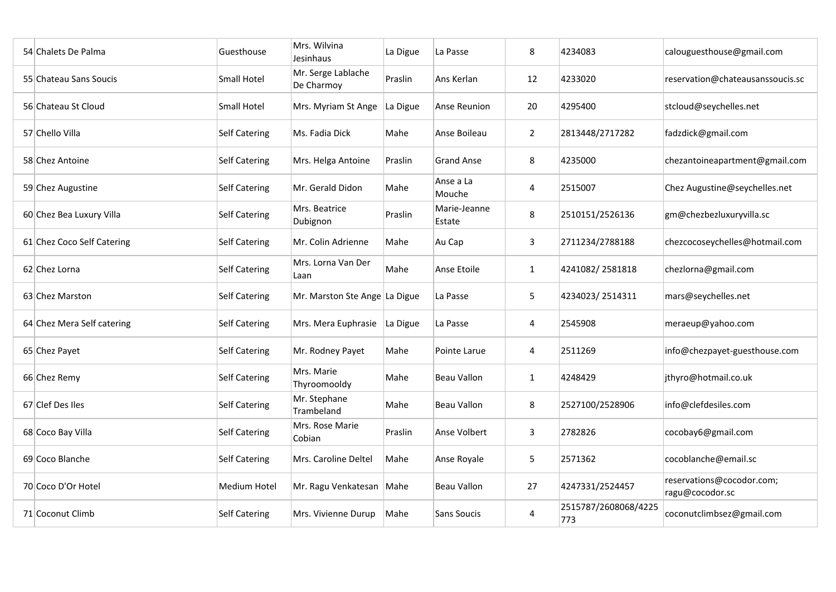| 54 Chalets De Palma        | Guesthouse           | Mrs. Wilvina<br>Jesinhaus        | La Digue | La Passe               | 8              | 4234083                     | calouguesthouse@gmail.com                    |
|----------------------------|----------------------|----------------------------------|----------|------------------------|----------------|-----------------------------|----------------------------------------------|
| 55 Chateau Sans Soucis     | <b>Small Hotel</b>   | Mr. Serge Lablache<br>De Charmoy | Praslin  | Ans Kerlan             | 12             | 4233020                     | reservation@chateausanssoucis.sc             |
| 56 Chateau St Cloud        | <b>Small Hotel</b>   | Mrs. Myriam St Ange              | La Digue | Anse Reunion           | 20             | 4295400                     | stcloud@seychelles.net                       |
| 57 Chello Villa            | <b>Self Catering</b> | Ms. Fadia Dick                   | Mahe     | Anse Boileau           | $\overline{2}$ | 2813448/2717282             | fadzdick@gmail.com                           |
| 58 Chez Antoine            | <b>Self Catering</b> | Mrs. Helga Antoine               | Praslin  | Grand Anse             | 8              | 4235000                     | chezantoineapartment@gmail.com               |
| 59 Chez Augustine          | <b>Self Catering</b> | Mr. Gerald Didon                 | Mahe     | Anse a La<br>Mouche    | 4              | 2515007                     | Chez Augustine@seychelles.net                |
| 60 Chez Bea Luxury Villa   | <b>Self Catering</b> | Mrs. Beatrice<br>Dubignon        | Praslin  | Marie-Jeanne<br>Estate | 8              | 2510151/2526136             | gm@chezbezluxuryvilla.sc                     |
| 61 Chez Coco Self Catering | <b>Self Catering</b> | Mr. Colin Adrienne               | Mahe     | Au Cap                 | $\overline{3}$ | 2711234/2788188             | chezcocoseychelles@hotmail.com               |
| 62 Chez Lorna              | <b>Self Catering</b> | Mrs. Lorna Van Der<br>Laan       | Mahe     | <b>Anse Etoile</b>     | $\mathbf{1}$   | 4241082/2581818             | chezlorna@gmail.com                          |
| 63 Chez Marston            | <b>Self Catering</b> | Mr. Marston Ste Ange La Digue    |          | La Passe               | 5              | 4234023/2514311             | mars@seychelles.net                          |
| 64 Chez Mera Self catering | <b>Self Catering</b> | Mrs. Mera Euphrasie              | La Digue | La Passe               | 4              | 2545908                     | meraeup@yahoo.com                            |
| 65 Chez Payet              | <b>Self Catering</b> | Mr. Rodney Payet                 | Mahe     | Pointe Larue           | 4              | 2511269                     | info@chezpayet-guesthouse.com                |
| 66 Chez Remy               | <b>Self Catering</b> | Mrs. Marie<br>Thyroomooldy       | Mahe     | <b>Beau Vallon</b>     | $\mathbf{1}$   | 4248429                     | jthyro@hotmail.co.uk                         |
| 67 Clef Des Iles           | <b>Self Catering</b> | Mr. Stephane<br>Trambeland       | Mahe     | Beau Vallon            | 8              | 2527100/2528906             | info@clefdesiles.com                         |
| 68 Coco Bay Villa          | <b>Self Catering</b> | Mrs. Rose Marie<br>Cobian        | Praslin  | Anse Volbert           | $\overline{3}$ | 2782826                     | cocobay6@gmail.com                           |
| 69 Coco Blanche            | <b>Self Catering</b> | Mrs. Caroline Deltel             | Mahe     | Anse Royale            | 5              | 2571362                     | cocoblanche@email.sc                         |
| 70 Coco D'Or Hotel         | <b>Medium Hotel</b>  | Mr. Ragu Venkatesan              | Mahe     | Beau Vallon            | 27             | 4247331/2524457             | reservations@cocodor.com;<br>ragu@cocodor.sc |
| 71 Coconut Climb           | <b>Self Catering</b> | Mrs. Vivienne Durup              | Mahe     | Sans Soucis            | 4              | 2515787/2608068/4225<br>773 | coconutclimbsez@gmail.com                    |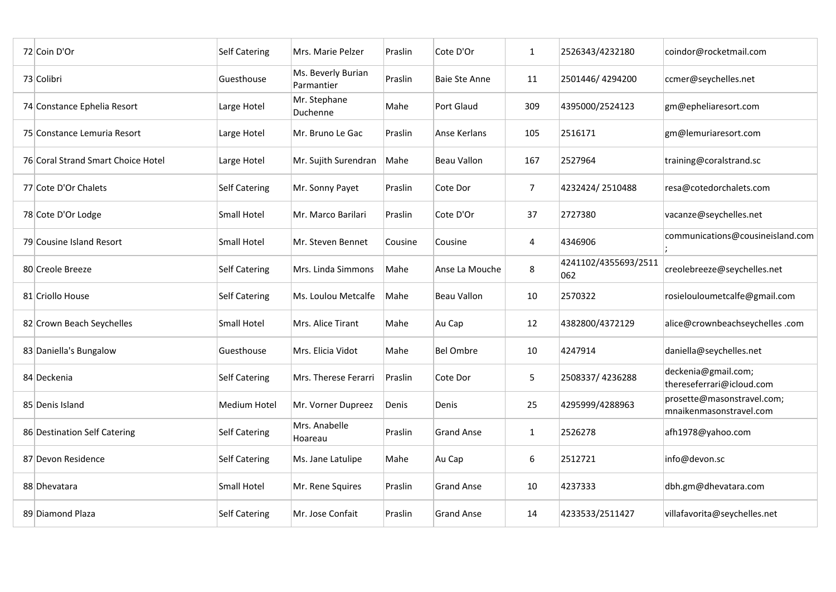| 72 Coin D'Or                       | <b>Self Catering</b> | Mrs. Marie Pelzer                | Praslin | Cote D'Or            | $\mathbf{1}$   | 2526343/4232180             | coindor@rocketmail.com                                |
|------------------------------------|----------------------|----------------------------------|---------|----------------------|----------------|-----------------------------|-------------------------------------------------------|
| 73 Colibri                         | Guesthouse           | Ms. Beverly Burian<br>Parmantier | Praslin | <b>Baie Ste Anne</b> | 11             | 2501446/4294200             | ccmer@seychelles.net                                  |
| 74 Constance Ephelia Resort        | Large Hotel          | Mr. Stephane<br>Duchenne         | Mahe    | <b>Port Glaud</b>    | 309            | 4395000/2524123             | gm@epheliaresort.com                                  |
| 75 Constance Lemuria Resort        | Large Hotel          | Mr. Bruno Le Gac                 | Praslin | Anse Kerlans         | 105            | 2516171                     | gm@lemuriaresort.com                                  |
| 76 Coral Strand Smart Choice Hotel | Large Hotel          | Mr. Sujith Surendran             | Mahe    | <b>Beau Vallon</b>   | 167            | 2527964                     | training@coralstrand.sc                               |
| 77 Cote D'Or Chalets               | <b>Self Catering</b> | Mr. Sonny Payet                  | Praslin | Cote Dor             | $\overline{7}$ | 4232424/2510488             | resa@cotedorchalets.com                               |
| 78 Cote D'Or Lodge                 | <b>Small Hotel</b>   | Mr. Marco Barilari               | Praslin | Cote D'Or            | 37             | 2727380                     | vacanze@seychelles.net                                |
| 79 Cousine Island Resort           | <b>Small Hotel</b>   | Mr. Steven Bennet                | Cousine | Cousine              | 4              | 4346906                     | communications@cousineisland.com                      |
| 80 Creole Breeze                   | <b>Self Catering</b> | Mrs. Linda Simmons               | Mahe    | Anse La Mouche       | 8              | 4241102/4355693/2511<br>062 | creolebreeze@seychelles.net                           |
| 81 Criollo House                   | <b>Self Catering</b> | Ms. Loulou Metcalfe              | Mahe    | <b>Beau Vallon</b>   | 10             | 2570322                     | rosielouloumetcalfe@gmail.com                         |
| 82 Crown Beach Seychelles          | <b>Small Hotel</b>   | Mrs. Alice Tirant                | Mahe    | Au Cap               | 12             | 4382800/4372129             | alice@crownbeachseychelles.com                        |
| 83 Daniella's Bungalow             | Guesthouse           | Mrs. Elicia Vidot                | Mahe    | <b>Bel Ombre</b>     | 10             | 4247914                     | daniella@seychelles.net                               |
| 84 Deckenia                        | <b>Self Catering</b> | Mrs. Therese Ferarri             | Praslin | Cote Dor             | 5              | 2508337/4236288             | deckenia@gmail.com;<br>thereseferrari@icloud.com      |
| 85 Denis Island                    | <b>Medium Hotel</b>  | Mr. Vorner Dupreez               | Denis   | Denis                | 25             | 4295999/4288963             | prosette@masonstravel.com;<br>mnaikenmasonstravel.com |
| 86 Destination Self Catering       | <b>Self Catering</b> | Mrs. Anabelle<br>Hoareau         | Praslin | <b>Grand Anse</b>    | $\mathbf{1}$   | 2526278                     | afh1978@yahoo.com                                     |
| 87 Devon Residence                 | <b>Self Catering</b> | Ms. Jane Latulipe                | Mahe    | Au Cap               | 6              | 2512721                     | info@devon.sc                                         |
| 88 Dhevatara                       | <b>Small Hotel</b>   | Mr. Rene Squires                 | Praslin | <b>Grand Anse</b>    | 10             | 4237333                     | dbh.gm@dhevatara.com                                  |
| 89 Diamond Plaza                   | <b>Self Catering</b> | Mr. Jose Confait                 | Praslin | <b>Grand Anse</b>    | 14             | 4233533/2511427             | villafavorita@seychelles.net                          |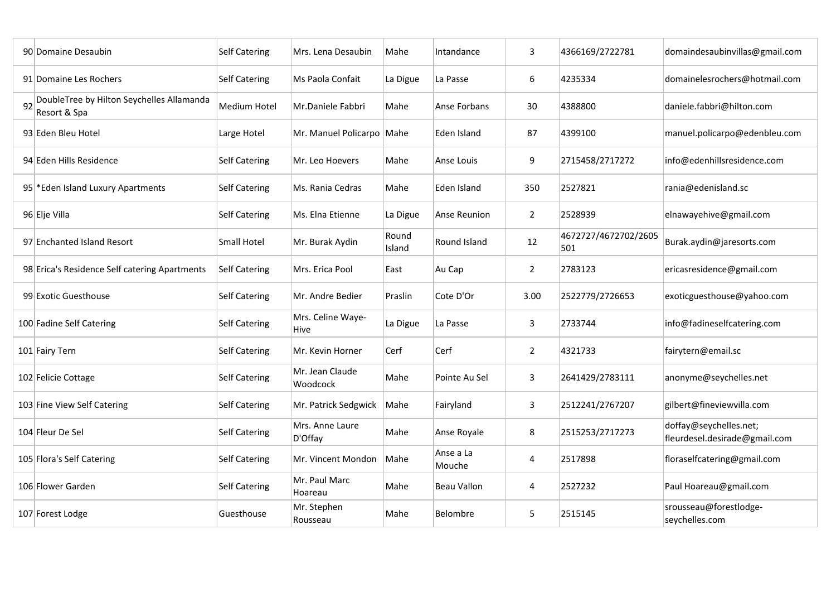|    | 90 Domaine Desaubin                                       | <b>Self Catering</b> | Mrs. Lena Desaubin               | Mahe            | Intandance          | 3              | 4366169/2722781             | domaindesaubinvillas@gmail.com                          |
|----|-----------------------------------------------------------|----------------------|----------------------------------|-----------------|---------------------|----------------|-----------------------------|---------------------------------------------------------|
|    | 91 Domaine Les Rochers                                    | <b>Self Catering</b> | Ms Paola Confait                 | La Digue        | La Passe            | 6              | 4235334                     | domainelesrochers@hotmail.com                           |
| 92 | DoubleTree by Hilton Seychelles Allamanda<br>Resort & Spa | <b>Medium Hotel</b>  | Mr.Daniele Fabbri                | Mahe            | Anse Forbans        | 30             | 4388800                     | daniele.fabbri@hilton.com                               |
|    | 93 Eden Bleu Hotel                                        | Large Hotel          | Mr. Manuel Policarpo Mahe        |                 | Eden Island         | 87             | 4399100                     | manuel.policarpo@edenbleu.com                           |
|    | 94 Eden Hills Residence                                   | <b>Self Catering</b> | Mr. Leo Hoevers                  | Mahe            | Anse Louis          | 9              | 2715458/2717272             | info@edenhillsresidence.com                             |
|    | 95 * Eden Island Luxury Apartments                        | <b>Self Catering</b> | Ms. Rania Cedras                 | Mahe            | Eden Island         | 350            | 2527821                     | rania@edenisland.sc                                     |
|    | 96 Elje Villa                                             | <b>Self Catering</b> | Ms. Elna Etienne                 | La Digue        | <b>Anse Reunion</b> | $\overline{2}$ | 2528939                     | elnawayehive@gmail.com                                  |
|    | 97 Enchanted Island Resort                                | <b>Small Hotel</b>   | Mr. Burak Aydin                  | Round<br>Island | <b>Round Island</b> | 12             | 4672727/4672702/2605<br>501 | Burak.aydin@jaresorts.com                               |
|    | 98 Erica's Residence Self catering Apartments             | <b>Self Catering</b> | Mrs. Erica Pool                  | East            | Au Cap              | $\overline{2}$ | 2783123                     | ericasresidence@gmail.com                               |
|    | 99 Exotic Guesthouse                                      | <b>Self Catering</b> | Mr. Andre Bedier                 | Praslin         | Cote D'Or           | 3.00           | 2522779/2726653             | exoticguesthouse@yahoo.com                              |
|    | 100 Fadine Self Catering                                  | <b>Self Catering</b> | Mrs. Celine Waye-<br><b>Hive</b> | La Digue        | La Passe            | 3              | 2733744                     | info@fadineselfcatering.com                             |
|    | 101 Fairy Tern                                            | Self Catering        | Mr. Kevin Horner                 | Cerf            | Cerf                | $\overline{2}$ | 4321733                     | fairytern@email.sc                                      |
|    | 102 Felicie Cottage                                       | <b>Self Catering</b> | Mr. Jean Claude<br>Woodcock      | Mahe            | Pointe Au Sel       | $\mathbf{3}$   | 2641429/2783111             | anonyme@seychelles.net                                  |
|    | 103 Fine View Self Catering                               | <b>Self Catering</b> | Mr. Patrick Sedgwick             | Mahe            | Fairyland           | $\overline{3}$ | 2512241/2767207             | gilbert@fineviewvilla.com                               |
|    | 104 Fleur De Sel                                          | <b>Self Catering</b> | Mrs. Anne Laure<br>D'Offay       | Mahe            | Anse Royale         | 8              | 2515253/2717273             | doffay@seychelles.net;<br>fleurdesel.desirade@gmail.com |
|    | 105 Flora's Self Catering                                 | <b>Self Catering</b> | Mr. Vincent Mondon               | Mahe            | Anse a La<br>Mouche | $\overline{4}$ | 2517898                     | floraselfcatering@gmail.com                             |
|    | 106 Flower Garden                                         | <b>Self Catering</b> | Mr. Paul Marc<br>Hoareau         | Mahe            | <b>Beau Vallon</b>  | 4              | 2527232                     | Paul Hoareau@gmail.com                                  |
|    | 107 Forest Lodge                                          | Guesthouse           | Mr. Stephen<br>Rousseau          | Mahe            | Belombre            | 5              | 2515145                     | srousseau@forestlodge-<br>seychelles.com                |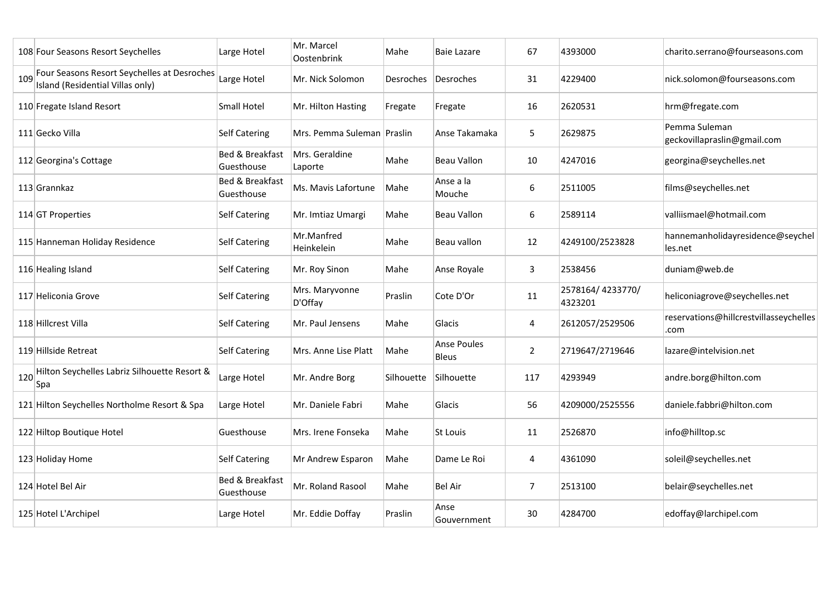|     | 108 Four Seasons Resort Seychelles                                              | Large Hotel                              | Mr. Marcel<br>Oostenbrink | Mahe             | <b>Baie Lazare</b>                 | 67             | 4393000                     | charito.serrano@fourseasons.com                |
|-----|---------------------------------------------------------------------------------|------------------------------------------|---------------------------|------------------|------------------------------------|----------------|-----------------------------|------------------------------------------------|
| 109 | Four Seasons Resort Seychelles at Desroches<br>Island (Residential Villas only) | Large Hotel                              | Mr. Nick Solomon          | <b>Desroches</b> | Desroches                          | 31             | 4229400                     | nick.solomon@fourseasons.com                   |
|     | 110 Fregate Island Resort                                                       | <b>Small Hotel</b>                       | Mr. Hilton Hasting        | Fregate          | Fregate                            | 16             | 2620531                     | hrm@fregate.com                                |
|     | 111 Gecko Villa                                                                 | <b>Self Catering</b>                     | Mrs. Pemma Suleman        | Praslin          | Anse Takamaka                      | 5              | 2629875                     | Pemma Suleman<br>geckovillapraslin@gmail.com   |
|     | 112 Georgina's Cottage                                                          | <b>Bed &amp; Breakfast</b><br>Guesthouse | Mrs. Geraldine<br>Laporte | Mahe             | <b>Beau Vallon</b>                 | 10             | 4247016                     | georgina@seychelles.net                        |
|     | 113 Grannkaz                                                                    | <b>Bed &amp; Breakfast</b><br>Guesthouse | Ms. Mavis Lafortune       | Mahe             | Anse a la<br>Mouche                | 6              | 2511005                     | films@seychelles.net                           |
|     | 114 GT Properties                                                               | <b>Self Catering</b>                     | Mr. Imtiaz Umargi         | Mahe             | <b>Beau Vallon</b>                 | 6              | 2589114                     | valliismael@hotmail.com                        |
|     | 115 Hanneman Holiday Residence                                                  | <b>Self Catering</b>                     | Mr.Manfred<br>Heinkelein  | Mahe             | Beau vallon                        | 12             | 4249100/2523828             | hannemanholidayresidence@seychel<br>les.net    |
|     | 116 Healing Island                                                              | <b>Self Catering</b>                     | Mr. Roy Sinon             | Mahe             | Anse Royale                        | $\mathbf{3}$   | 2538456                     | duniam@web.de                                  |
|     | 117 Heliconia Grove                                                             | <b>Self Catering</b>                     | Mrs. Maryvonne<br>D'Offay | Praslin          | Cote D'Or                          | 11             | 2578164/4233770/<br>4323201 | heliconiagrove@seychelles.net                  |
|     | 118 Hillcrest Villa                                                             | <b>Self Catering</b>                     | Mr. Paul Jensens          | Mahe             | Glacis                             | 4              | 2612057/2529506             | reservations@hillcrestvillasseychelles<br>.com |
|     | 119 Hillside Retreat                                                            | <b>Self Catering</b>                     | Mrs. Anne Lise Platt      | Mahe             | <b>Anse Poules</b><br><b>Bleus</b> | $\overline{2}$ | 2719647/2719646             | lazare@intelvision.net                         |
| 120 | Hilton Seychelles Labriz Silhouette Resort &<br> Spa                            | Large Hotel                              | Mr. Andre Borg            | Silhouette       | Silhouette                         | 117            | 4293949                     | andre.borg@hilton.com                          |
|     | 121 Hilton Seychelles Northolme Resort & Spa                                    | Large Hotel                              | Mr. Daniele Fabri         | Mahe             | Glacis                             | 56             | 4209000/2525556             | daniele.fabbri@hilton.com                      |
|     | 122 Hiltop Boutique Hotel                                                       | Guesthouse                               | Mrs. Irene Fonseka        | Mahe             | St Louis                           | 11             | 2526870                     | info@hilltop.sc                                |
|     | 123 Holiday Home                                                                | <b>Self Catering</b>                     | Mr Andrew Esparon         | Mahe             | Dame Le Roi                        | 4              | 4361090                     | soleil@seychelles.net                          |
|     | 124 Hotel Bel Air                                                               | Bed & Breakfast<br>Guesthouse            | Mr. Roland Rasool         | Mahe             | <b>Bel Air</b>                     | $\overline{7}$ | 2513100                     | belair@seychelles.net                          |
|     | 125 Hotel L'Archipel                                                            | Large Hotel                              | Mr. Eddie Doffay          | Praslin          | Anse<br>Gouvernment                | 30             | 4284700                     | edoffay@larchipel.com                          |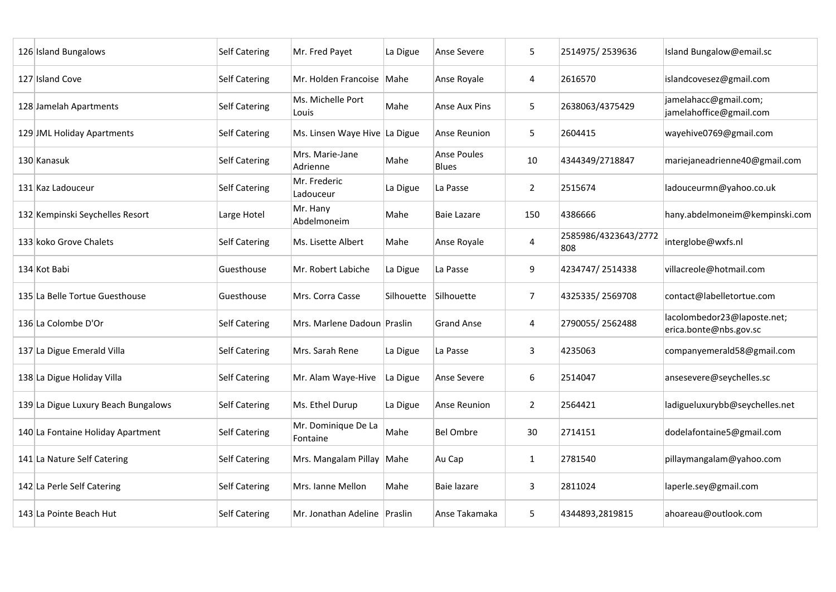| 126 Island Bungalows                | <b>Self Catering</b> | Mr. Fred Payet                  | La Digue   | Anse Severe                 | 5              | 2514975/2539636             | Island Bungalow@email.sc                              |
|-------------------------------------|----------------------|---------------------------------|------------|-----------------------------|----------------|-----------------------------|-------------------------------------------------------|
| 127 Island Cove                     | <b>Self Catering</b> | Mr. Holden Francoise            | Mahe       | Anse Royale                 | $\overline{4}$ | 2616570                     | islandcovesez@gmail.com                               |
| 128 Jamelah Apartments              | <b>Self Catering</b> | Ms. Michelle Port<br>Louis      | Mahe       | <b>Anse Aux Pins</b>        | 5              | 2638063/4375429             | jamelahacc@gmail.com;<br>jamelahoffice@gmail.com      |
| 129 JML Holiday Apartments          | <b>Self Catering</b> | Ms. Linsen Waye Hive La Digue   |            | <b>Anse Reunion</b>         | 5              | 2604415                     | wayehive0769@gmail.com                                |
| 130 Kanasuk                         | <b>Self Catering</b> | Mrs. Marie-Jane<br>Adrienne     | Mahe       | Anse Poules<br><b>Blues</b> | 10             | 4344349/2718847             | mariejaneadrienne40@gmail.com                         |
| 131 Kaz Ladouceur                   | <b>Self Catering</b> | Mr. Frederic<br>Ladouceur       | La Digue   | La Passe                    | $\overline{2}$ | 2515674                     | ladouceurmn@yahoo.co.uk                               |
| 132 Kempinski Seychelles Resort     | Large Hotel          | Mr. Hany<br>Abdelmoneim         | Mahe       | <b>Baie Lazare</b>          | 150            | 4386666                     | hany.abdelmoneim@kempinski.com                        |
| 133 koko Grove Chalets              | <b>Self Catering</b> | Ms. Lisette Albert              | Mahe       | Anse Royale                 | $\overline{4}$ | 2585986/4323643/2772<br>808 | interglobe@wxfs.nl                                    |
| 134 Kot Babi                        | Guesthouse           | Mr. Robert Labiche              | La Digue   | La Passe                    | 9              | 4234747/2514338             | villacreole@hotmail.com                               |
| 135 La Belle Tortue Guesthouse      | Guesthouse           | Mrs. Corra Casse                | Silhouette | Silhouette                  | $\overline{7}$ | 4325335/2569708             | contact@labelletortue.com                             |
| 136 La Colombe D'Or                 | <b>Self Catering</b> | Mrs. Marlene Dadoun Praslin     |            | <b>Grand Anse</b>           | 4              | 2790055/2562488             | lacolombedor23@laposte.net;<br>erica.bonte@nbs.gov.sc |
| 137 La Digue Emerald Villa          | Self Catering        | Mrs. Sarah Rene                 | La Digue   | La Passe                    | 3              | 4235063                     | companyemerald58@gmail.com                            |
| 138 La Digue Holiday Villa          | <b>Self Catering</b> | Mr. Alam Waye-Hive              | La Digue   | Anse Severe                 | 6              | 2514047                     | ansesevere@seychelles.sc                              |
| 139 La Digue Luxury Beach Bungalows | <b>Self Catering</b> | Ms. Ethel Durup                 | La Digue   | <b>Anse Reunion</b>         | $\overline{2}$ | 2564421                     | ladigueluxurybb@seychelles.net                        |
| 140 La Fontaine Holiday Apartment   | <b>Self Catering</b> | Mr. Dominique De La<br>Fontaine | Mahe       | <b>Bel Ombre</b>            | 30             | 2714151                     | dodelafontaine5@gmail.com                             |
| 141 La Nature Self Catering         | <b>Self Catering</b> | Mrs. Mangalam Pillay            | Mahe       | Au Cap                      | $\mathbf{1}$   | 2781540                     | pillaymangalam@yahoo.com                              |
| 142 La Perle Self Catering          | <b>Self Catering</b> | Mrs. Ianne Mellon               | Mahe       | Baie lazare                 | $\mathbf{3}$   | 2811024                     | laperle.sey@gmail.com                                 |
| 143 La Pointe Beach Hut             | <b>Self Catering</b> | Mr. Jonathan Adeline            | Praslin    | Anse Takamaka               | 5              | 4344893,2819815             | ahoareau@outlook.com                                  |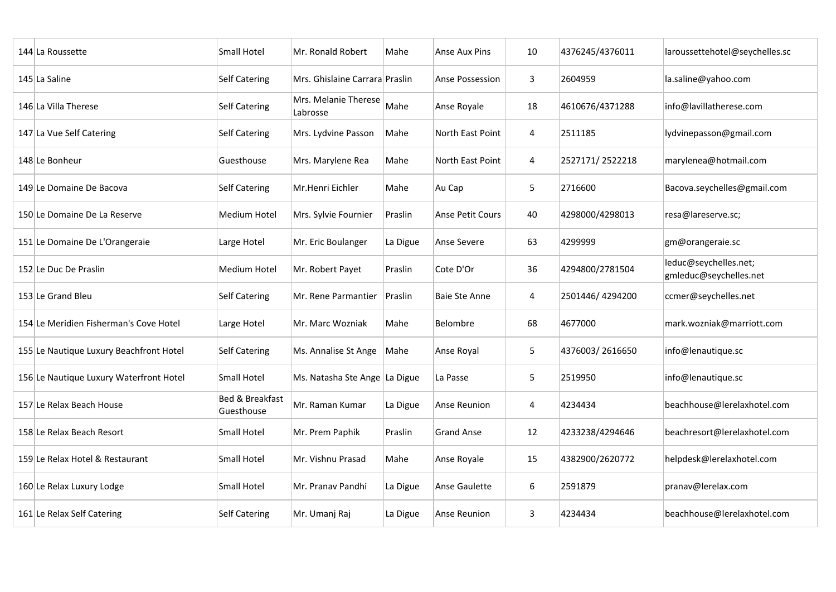| 144 La Roussette                        | <b>Small Hotel</b>            | Mr. Ronald Robert                | Mahe     | Anse Aux Pins           | 10             | 4376245/4376011 | laroussettehotel@seychelles.sc                  |
|-----------------------------------------|-------------------------------|----------------------------------|----------|-------------------------|----------------|-----------------|-------------------------------------------------|
| 145 La Saline                           | <b>Self Catering</b>          | Mrs. Ghislaine Carrara Praslin   |          | <b>Anse Possession</b>  | $\mathbf{3}$   | 2604959         | la.saline@yahoo.com                             |
| 146 La Villa Therese                    | <b>Self Catering</b>          | Mrs. Melanie Therese<br>Labrosse | Mahe     | Anse Royale             | 18             | 4610676/4371288 | info@lavillatherese.com                         |
| 147 La Vue Self Catering                | <b>Self Catering</b>          | Mrs. Lydvine Passon              | Mahe     | North East Point        | $\overline{4}$ | 2511185         | lydvinepasson@gmail.com                         |
| 148 Le Bonheur                          | Guesthouse                    | Mrs. Marylene Rea                | Mahe     | North East Point        | 4              | 2527171/2522218 | marylenea@hotmail.com                           |
| 149 Le Domaine De Bacova                | <b>Self Catering</b>          | Mr.Henri Eichler                 | Mahe     | Au Cap                  | 5              | 2716600         | Bacova.seychelles@gmail.com                     |
| 150 Le Domaine De La Reserve            | <b>Medium Hotel</b>           | Mrs. Sylvie Fournier             | Praslin  | <b>Anse Petit Cours</b> | 40             | 4298000/4298013 | resa@lareserve.sc;                              |
| 151 Le Domaine De L'Orangeraie          | Large Hotel                   | Mr. Eric Boulanger               | La Digue | <b>Anse Severe</b>      | 63             | 4299999         | gm@orangeraie.sc                                |
| 152 Le Duc De Praslin                   | <b>Medium Hotel</b>           | Mr. Robert Payet                 | Praslin  | Cote D'Or               | 36             | 4294800/2781504 | leduc@seychelles.net;<br>gmleduc@seychelles.net |
| 153 Le Grand Bleu                       | <b>Self Catering</b>          | Mr. Rene Parmantier              | Praslin  | <b>Baie Ste Anne</b>    | 4              | 2501446/4294200 | ccmer@seychelles.net                            |
| 154 Le Meridien Fisherman's Cove Hotel  | Large Hotel                   | Mr. Marc Wozniak                 | Mahe     | <b>Belombre</b>         | 68             | 4677000         | mark.wozniak@marriott.com                       |
| 155 Le Nautique Luxury Beachfront Hotel | <b>Self Catering</b>          | Ms. Annalise St Ange   Mahe      |          | Anse Royal              | 5              | 4376003/2616650 | info@lenautique.sc                              |
| 156 Le Nautique Luxury Waterfront Hotel | <b>Small Hotel</b>            | Ms. Natasha Ste Ange   La Digue  |          | La Passe                | 5              | 2519950         | info@lenautique.sc                              |
| 157 Le Relax Beach House                | Bed & Breakfast<br>Guesthouse | Mr. Raman Kumar                  | La Digue | Anse Reunion            | 4              | 4234434         | beachhouse@lerelaxhotel.com                     |
| 158 Le Relax Beach Resort               | <b>Small Hotel</b>            | Mr. Prem Paphik                  | Praslin  | <b>Grand Anse</b>       | 12             | 4233238/4294646 | beachresort@lerelaxhotel.com                    |
| 159 Le Relax Hotel & Restaurant         | <b>Small Hotel</b>            | Mr. Vishnu Prasad                | Mahe     | Anse Royale             | 15             | 4382900/2620772 | helpdesk@lerelaxhotel.com                       |
| 160 Le Relax Luxury Lodge               | <b>Small Hotel</b>            | Mr. Pranav Pandhi                | La Digue | Anse Gaulette           | 6              | 2591879         | pranav@lerelax.com                              |
| 161 Le Relax Self Catering              | <b>Self Catering</b>          | Mr. Umanj Raj                    | La Digue | Anse Reunion            | $\overline{3}$ | 4234434         | beachhouse@lerelaxhotel.com                     |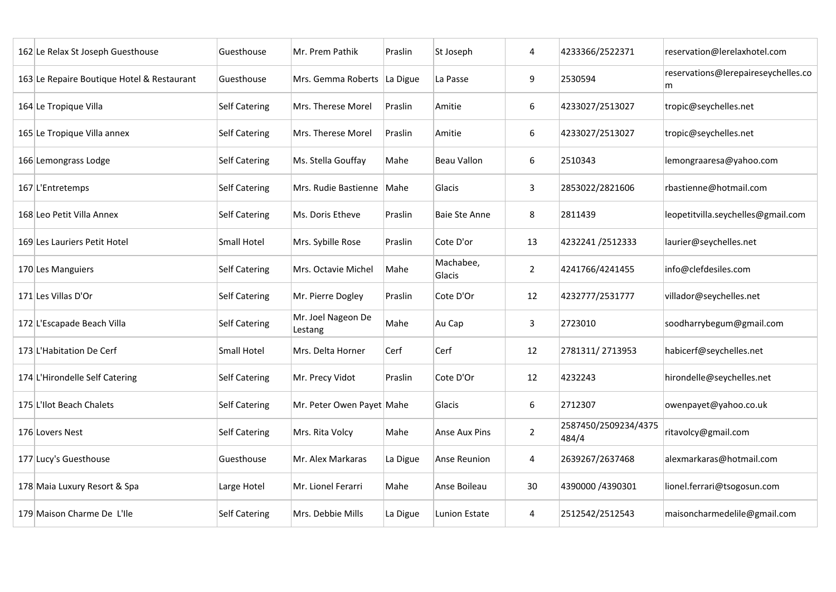| 162 Le Relax St Joseph Guesthouse          | Guesthouse           | Mr. Prem Pathik               | Praslin  | St Joseph            | 4              | 4233366/2522371               | reservation@lerelaxhotel.com             |
|--------------------------------------------|----------------------|-------------------------------|----------|----------------------|----------------|-------------------------------|------------------------------------------|
| 163 Le Repaire Boutique Hotel & Restaurant | Guesthouse           | Mrs. Gemma Roberts            | La Digue | La Passe             | 9              | 2530594                       | reservations@lerepaireseychelles.co<br>m |
| 164 Le Tropique Villa                      | <b>Self Catering</b> | Mrs. Therese Morel            | Praslin  | Amitie               | 6              | 4233027/2513027               | tropic@seychelles.net                    |
| 165 Le Tropique Villa annex                | <b>Self Catering</b> | Mrs. Therese Morel            | Praslin  | Amitie               | 6              | 4233027/2513027               | tropic@seychelles.net                    |
| 166 Lemongrass Lodge                       | <b>Self Catering</b> | Ms. Stella Gouffay            | Mahe     | <b>Beau Vallon</b>   | 6              | 2510343                       | lemongraaresa@yahoo.com                  |
| 167 L'Entretemps                           | <b>Self Catering</b> | Mrs. Rudie Bastienne          | Mahe     | Glacis               | $\overline{3}$ | 2853022/2821606               | rbastienne@hotmail.com                   |
| 168 Leo Petit Villa Annex                  | <b>Self Catering</b> | Ms. Doris Etheve              | Praslin  | <b>Baie Ste Anne</b> | 8              | 2811439                       | leopetitvilla.seychelles@gmail.com       |
| 169 Les Lauriers Petit Hotel               | <b>Small Hotel</b>   | Mrs. Sybille Rose             | Praslin  | Cote D'or            | 13             | 4232241/2512333               | laurier@seychelles.net                   |
| 170 Les Manguiers                          | <b>Self Catering</b> | Mrs. Octavie Michel           | Mahe     | Machabee,<br>Glacis  | $\overline{2}$ | 4241766/4241455               | info@clefdesiles.com                     |
| 171 Les Villas D'Or                        | <b>Self Catering</b> | Mr. Pierre Dogley             | Praslin  | Cote D'Or            | 12             | 4232777/2531777               | villador@seychelles.net                  |
| 172 L'Escapade Beach Villa                 | <b>Self Catering</b> | Mr. Joel Nageon De<br>Lestang | Mahe     | Au Cap               | $\mathbf{3}$   | 2723010                       | soodharrybegum@gmail.com                 |
| 173 L'Habitation De Cerf                   | <b>Small Hotel</b>   | Mrs. Delta Horner             | Cerf     | Cerf                 | 12             | 2781311/2713953               | habicerf@seychelles.net                  |
| 174 L'Hirondelle Self Catering             | <b>Self Catering</b> | Mr. Precy Vidot               | Praslin  | Cote D'Or            | 12             | 4232243                       | hirondelle@seychelles.net                |
| 175 L'Ilot Beach Chalets                   | <b>Self Catering</b> | Mr. Peter Owen Payet Mahe     |          | Glacis               | 6              | 2712307                       | owenpayet@yahoo.co.uk                    |
| 176 Lovers Nest                            | <b>Self Catering</b> | Mrs. Rita Volcy               | Mahe     | Anse Aux Pins        | $\overline{2}$ | 2587450/2509234/4375<br>484/4 | ritavolcy@gmail.com                      |
| 177 Lucy's Guesthouse                      | Guesthouse           | Mr. Alex Markaras             | La Digue | <b>Anse Reunion</b>  | 4              | 2639267/2637468               | alexmarkaras@hotmail.com                 |
| 178 Maia Luxury Resort & Spa               | Large Hotel          | Mr. Lionel Ferarri            | Mahe     | Anse Boileau         | 30             | 4390000 /4390301              | lionel.ferrari@tsogosun.com              |
| 179 Maison Charme De L'Ile                 | <b>Self Catering</b> | Mrs. Debbie Mills             | La Digue | Lunion Estate        | 4              | 2512542/2512543               | maisoncharmedelile@gmail.com             |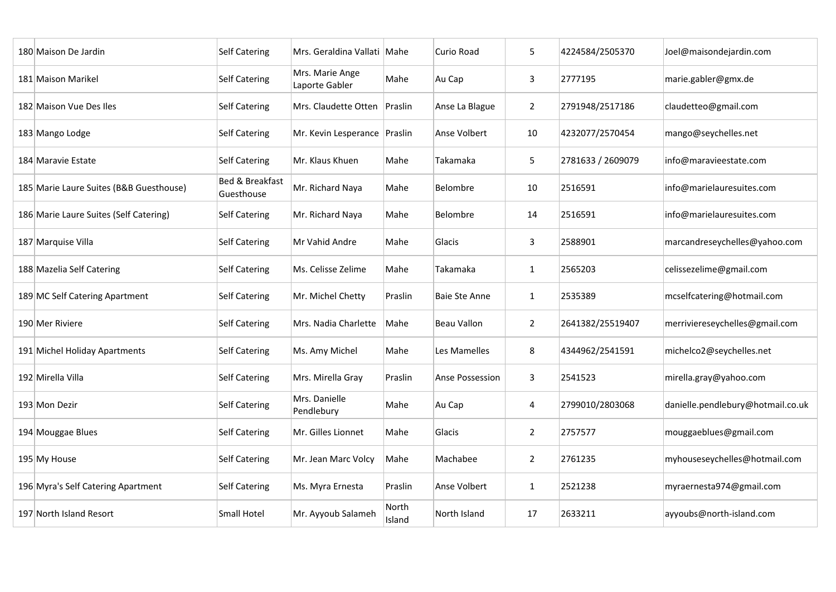| 180 Maison De Jardin                    | <b>Self Catering</b>                     | Mrs. Geraldina Vallati            | Mahe            | Curio Road           | 5              | 4224584/2505370   | Joel@maisondejardin.com           |
|-----------------------------------------|------------------------------------------|-----------------------------------|-----------------|----------------------|----------------|-------------------|-----------------------------------|
| 181 Maison Marikel                      | <b>Self Catering</b>                     | Mrs. Marie Ange<br>Laporte Gabler | Mahe            | Au Cap               | $\overline{3}$ | 2777195           | marie.gabler@gmx.de               |
| 182 Maison Vue Des Iles                 | <b>Self Catering</b>                     | Mrs. Claudette Otten              | Praslin         | Anse La Blague       | $\overline{2}$ | 2791948/2517186   | claudetteo@gmail.com              |
| 183 Mango Lodge                         | <b>Self Catering</b>                     | Mr. Kevin Lesperance              | Praslin         | Anse Volbert         | 10             | 4232077/2570454   | mango@seychelles.net              |
| 184 Maravie Estate                      | <b>Self Catering</b>                     | Mr. Klaus Khuen                   | Mahe            | Takamaka             | 5              | 2781633 / 2609079 | info@maravieestate.com            |
| 185 Marie Laure Suites (B&B Guesthouse) | <b>Bed &amp; Breakfast</b><br>Guesthouse | Mr. Richard Naya                  | Mahe            | Belombre             | 10             | 2516591           | info@marielauresuites.com         |
| 186 Marie Laure Suites (Self Catering)  | <b>Self Catering</b>                     | Mr. Richard Naya                  | Mahe            | Belombre             | 14             | 2516591           | info@marielauresuites.com         |
| 187 Marquise Villa                      | <b>Self Catering</b>                     | Mr Vahid Andre                    | Mahe            | Glacis               | $\overline{3}$ | 2588901           | marcandreseychelles@yahoo.com     |
| 188 Mazelia Self Catering               | <b>Self Catering</b>                     | Ms. Celisse Zelime                | Mahe            | Takamaka             | $\mathbf{1}$   | 2565203           | celissezelime@gmail.com           |
| 189 MC Self Catering Apartment          | <b>Self Catering</b>                     | Mr. Michel Chetty                 | Praslin         | <b>Baie Ste Anne</b> | $\mathbf{1}$   | 2535389           | mcselfcatering@hotmail.com        |
| 190 Mer Riviere                         | <b>Self Catering</b>                     | Mrs. Nadia Charlette              | Mahe            | Beau Vallon          | $\overline{2}$ | 2641382/25519407  | merriviereseychelles@gmail.com    |
| 191 Michel Holiday Apartments           | Self Catering                            | Ms. Amy Michel                    | Mahe            | Les Mamelles         | 8              | 4344962/2541591   | michelco2@seychelles.net          |
| 192 Mirella Villa                       | <b>Self Catering</b>                     | Mrs. Mirella Gray                 | Praslin         | Anse Possession      | $\overline{3}$ | 2541523           | mirella.gray@yahoo.com            |
| 193 Mon Dezir                           | <b>Self Catering</b>                     | Mrs. Danielle<br>Pendlebury       | Mahe            | Au Cap               | 4              | 2799010/2803068   | danielle.pendlebury@hotmail.co.uk |
| 194 Mouggae Blues                       | <b>Self Catering</b>                     | Mr. Gilles Lionnet                | Mahe            | Glacis               | $\overline{2}$ | 2757577           | mouggaeblues@gmail.com            |
| 195 My House                            | <b>Self Catering</b>                     | Mr. Jean Marc Volcy               | Mahe            | Machabee             | $\overline{2}$ | 2761235           | myhouseseychelles@hotmail.com     |
| 196 Myra's Self Catering Apartment      | <b>Self Catering</b>                     | Ms. Myra Ernesta                  | Praslin         | Anse Volbert         | $\mathbf{1}$   | 2521238           | myraernesta974@gmail.com          |
| 197 North Island Resort                 | <b>Small Hotel</b>                       | Mr. Ayyoub Salameh                | North<br>Island | North Island         | 17             | 2633211           | ayyoubs@north-island.com          |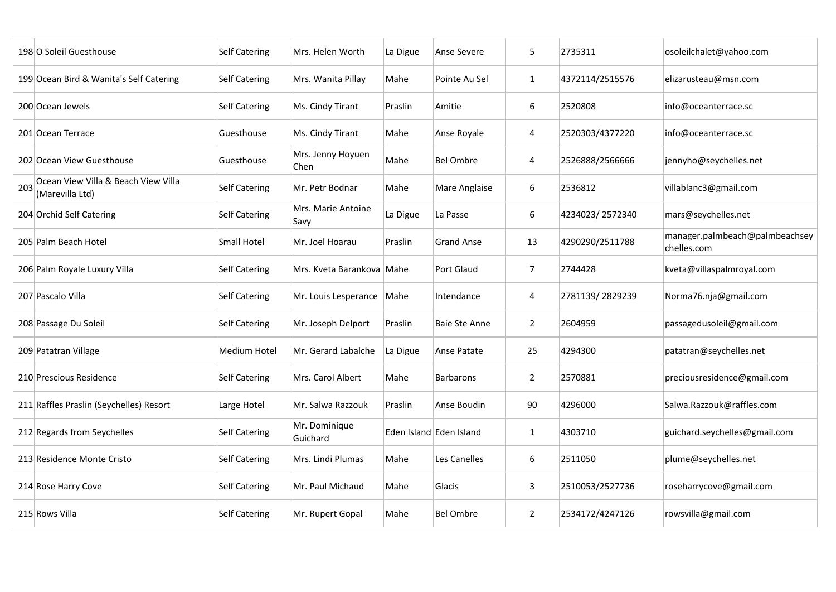|     | 198 O Soleil Guesthouse                                | <b>Self Catering</b> | Mrs. Helen Worth               | La Digue | Anse Severe             | 5              | 2735311         | osoleilchalet@yahoo.com                       |
|-----|--------------------------------------------------------|----------------------|--------------------------------|----------|-------------------------|----------------|-----------------|-----------------------------------------------|
|     | 199 Ocean Bird & Wanita's Self Catering                | <b>Self Catering</b> | Mrs. Wanita Pillay             | Mahe     | Pointe Au Sel           | $\mathbf{1}$   | 4372114/2515576 | elizarusteau@msn.com                          |
|     | 200 Ocean Jewels                                       | <b>Self Catering</b> | Ms. Cindy Tirant               | Praslin  | Amitie                  | 6              | 2520808         | info@oceanterrace.sc                          |
|     | 201 Ocean Terrace                                      | Guesthouse           | Ms. Cindy Tirant               | Mahe     | Anse Royale             | 4              | 2520303/4377220 | info@oceanterrace.sc                          |
|     | 202 Ocean View Guesthouse                              | Guesthouse           | Mrs. Jenny Hoyuen<br>Chen      | Mahe     | <b>Bel Ombre</b>        | 4              | 2526888/2566666 | jennyho@seychelles.net                        |
| 203 | Ocean View Villa & Beach View Villa<br>(Marevilla Ltd) | <b>Self Catering</b> | Mr. Petr Bodnar                | Mahe     | <b>Mare Anglaise</b>    | 6              | 2536812         | villablanc3@gmail.com                         |
|     | 204 Orchid Self Catering                               | <b>Self Catering</b> | Mrs. Marie Antoine<br>Savy     | La Digue | La Passe                | 6              | 4234023/2572340 | mars@seychelles.net                           |
|     | 205 Palm Beach Hotel                                   | <b>Small Hotel</b>   | Mr. Joel Hoarau                | Praslin  | <b>Grand Anse</b>       | 13             | 4290290/2511788 | manager.palmbeach@palmbeachsey<br>chelles.com |
|     | 206 Palm Royale Luxury Villa                           | <b>Self Catering</b> | Mrs. Kveta Barankova   Mahe    |          | <b>Port Glaud</b>       | 7              | 2744428         | kveta@villaspalmroyal.com                     |
|     | 207 Pascalo Villa                                      | <b>Self Catering</b> | Mr. Louis Lesperance           | Mahe     | Intendance              | 4              | 2781139/2829239 | Norma76.nja@gmail.com                         |
|     | 208 Passage Du Soleil                                  | <b>Self Catering</b> | Mr. Joseph Delport             | Praslin  | <b>Baie Ste Anne</b>    | $2^{\circ}$    | 2604959         | passagedusoleil@gmail.com                     |
|     | 209 Patatran Village                                   | Medium Hotel         | Mr. Gerard Labalche   La Digue |          | Anse Patate             | 25             | 4294300         | patatran@seychelles.net                       |
|     | 210 Prescious Residence                                | <b>Self Catering</b> | Mrs. Carol Albert              | Mahe     | Barbarons               | $\overline{2}$ | 2570881         | preciousresidence@gmail.com                   |
|     | 211 Raffles Praslin (Seychelles) Resort                | Large Hotel          | Mr. Salwa Razzouk              | Praslin  | Anse Boudin             | 90             | 4296000         | Salwa.Razzouk@raffles.com                     |
|     | 212 Regards from Seychelles                            | <b>Self Catering</b> | Mr. Dominique<br>Guichard      |          | Eden Island Eden Island | $\mathbf{1}$   | 4303710         | guichard.seychelles@gmail.com                 |
|     | 213 Residence Monte Cristo                             | <b>Self Catering</b> | Mrs. Lindi Plumas              | Mahe     | Les Canelles            | 6              | 2511050         | plume@seychelles.net                          |
|     | 214 Rose Harry Cove                                    | <b>Self Catering</b> | Mr. Paul Michaud               | Mahe     | Glacis                  | $\overline{3}$ | 2510053/2527736 | roseharrycove@gmail.com                       |
|     | 215 Rows Villa                                         | <b>Self Catering</b> | Mr. Rupert Gopal               | Mahe     | <b>Bel Ombre</b>        | $\overline{2}$ | 2534172/4247126 | rowsvilla@gmail.com                           |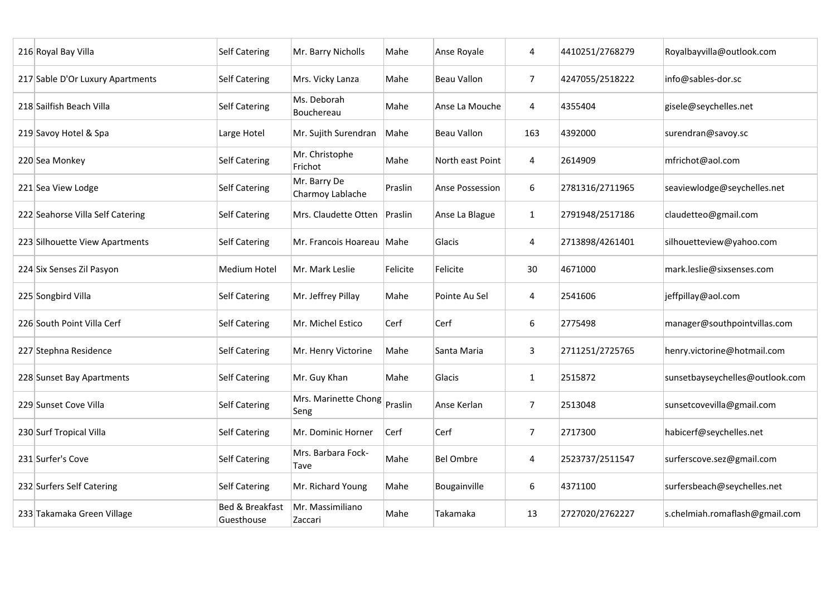| 216 Royal Bay Villa              | <b>Self Catering</b>                     | Mr. Barry Nicholls               | Mahe     | Anse Royale            | 4              | 4410251/2768279 | Royalbayvilla@outlook.com       |
|----------------------------------|------------------------------------------|----------------------------------|----------|------------------------|----------------|-----------------|---------------------------------|
| 217 Sable D'Or Luxury Apartments | <b>Self Catering</b>                     | Mrs. Vicky Lanza                 | Mahe     | Beau Vallon            | $\overline{7}$ | 4247055/2518222 | info@sables-dor.sc              |
| 218 Sailfish Beach Villa         | <b>Self Catering</b>                     | Ms. Deborah<br>Bouchereau        | Mahe     | Anse La Mouche         | 4              | 4355404         | gisele@seychelles.net           |
| 219 Savoy Hotel & Spa            | Large Hotel                              | Mr. Sujith Surendran             | Mahe     | <b>Beau Vallon</b>     | 163            | 4392000         | surendran@savoy.sc              |
| 220 Sea Monkey                   | Self Catering                            | Mr. Christophe<br>Frichot        | Mahe     | North east Point       | 4              | 2614909         | mfrichot@aol.com                |
| 221 Sea View Lodge               | <b>Self Catering</b>                     | Mr. Barry De<br>Charmoy Lablache | Praslin  | <b>Anse Possession</b> | 6              | 2781316/2711965 | seaviewlodge@seychelles.net     |
| 222 Seahorse Villa Self Catering | <b>Self Catering</b>                     | Mrs. Claudette Otten             | Praslin  | Anse La Blague         | $\mathbf{1}$   | 2791948/2517186 | claudetteo@gmail.com            |
| 223 Silhouette View Apartments   | <b>Self Catering</b>                     | Mr. Francois Hoareau Mahe        |          | Glacis                 | 4              | 2713898/4261401 | silhouetteview@yahoo.com        |
| 224 Six Senses Zil Pasyon        | <b>Medium Hotel</b>                      | Mr. Mark Leslie                  | Felicite | Felicite               | 30             | 4671000         | mark.leslie@sixsenses.com       |
| 225 Songbird Villa               | <b>Self Catering</b>                     | Mr. Jeffrey Pillay               | Mahe     | Pointe Au Sel          | 4              | 2541606         | jeffpillay@aol.com              |
| 226 South Point Villa Cerf       | <b>Self Catering</b>                     | Mr. Michel Estico                | Cerf     | Cerf                   | 6              | 2775498         | manager@southpointvillas.com    |
| 227 Stephna Residence            | <b>Self Catering</b>                     | Mr. Henry Victorine              | Mahe     | Santa Maria            | 3              | 2711251/2725765 | henry.victorine@hotmail.com     |
| 228 Sunset Bay Apartments        | <b>Self Catering</b>                     | Mr. Guy Khan                     | Mahe     | Glacis                 | $\mathbf{1}$   | 2515872         | sunsetbayseychelles@outlook.com |
| 229 Sunset Cove Villa            | <b>Self Catering</b>                     | Mrs. Marinette Chong<br>Seng     | Praslin  | Anse Kerlan            | $\overline{7}$ | 2513048         | sunsetcovevilla@gmail.com       |
| 230 Surf Tropical Villa          | <b>Self Catering</b>                     | Mr. Dominic Horner               | Cerf     | Cerf                   | $\overline{7}$ | 2717300         | habicerf@seychelles.net         |
| 231 Surfer's Cove                | <b>Self Catering</b>                     | Mrs. Barbara Fock-<br>Tave       | Mahe     | <b>Bel Ombre</b>       | 4              | 2523737/2511547 | surferscove.sez@gmail.com       |
| 232 Surfers Self Catering        | <b>Self Catering</b>                     | Mr. Richard Young                | Mahe     | Bougainville           | 6              | 4371100         | surfersbeach@seychelles.net     |
| 233 Takamaka Green Village       | <b>Bed &amp; Breakfast</b><br>Guesthouse | Mr. Massimiliano<br>Zaccari      | Mahe     | Takamaka               | 13             | 2727020/2762227 | s.chelmiah.romaflash@gmail.com  |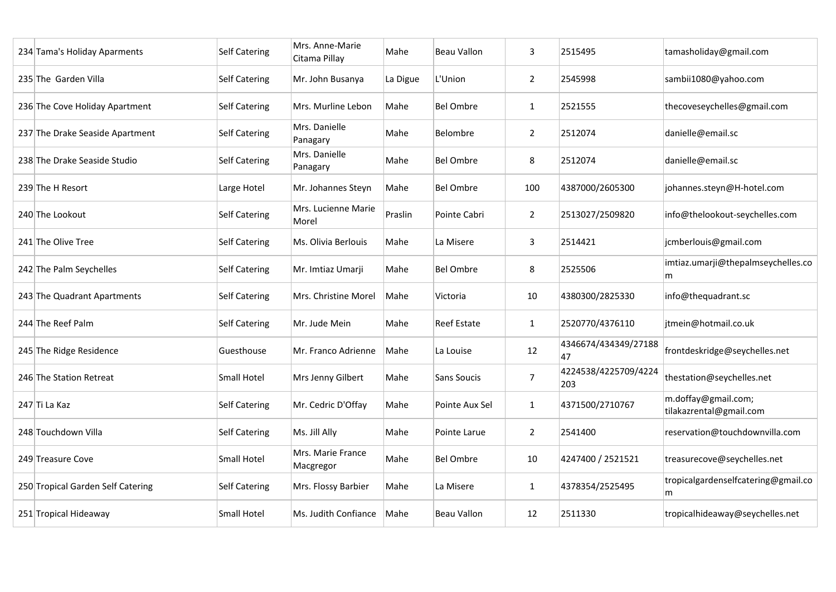| 234 Tama's Holiday Aparments      | <b>Self Catering</b> | Mrs. Anne-Marie<br>Citama Pillay | Mahe     | <b>Beau Vallon</b>  | 3              | 2515495                     | tamasholiday@gmail.com                         |
|-----------------------------------|----------------------|----------------------------------|----------|---------------------|----------------|-----------------------------|------------------------------------------------|
| 235 The Garden Villa              | <b>Self Catering</b> | Mr. John Busanya                 | La Digue | L'Union             | $\overline{2}$ | 2545998                     | sambii1080@yahoo.com                           |
| 236 The Cove Holiday Apartment    | <b>Self Catering</b> | Mrs. Murline Lebon               | Mahe     | <b>Bel Ombre</b>    | $\mathbf{1}$   | 2521555                     | thecoveseychelles@gmail.com                    |
| 237 The Drake Seaside Apartment   | <b>Self Catering</b> | Mrs. Danielle<br>Panagary        | Mahe     | Belombre            | $\overline{2}$ | 2512074                     | danielle@email.sc                              |
| 238 The Drake Seaside Studio      | <b>Self Catering</b> | Mrs. Danielle<br> Panagary       | Mahe     | <b>Bel Ombre</b>    | 8              | 2512074                     | danielle@email.sc                              |
| 239 The H Resort                  | Large Hotel          | Mr. Johannes Steyn               | Mahe     | <b>Bel Ombre</b>    | 100            | 4387000/2605300             | johannes.steyn@H-hotel.com                     |
| 240 The Lookout                   | <b>Self Catering</b> | Mrs. Lucienne Marie<br>Morel     | Praslin  | <b>Pointe Cabri</b> | $\overline{2}$ | 2513027/2509820             | info@thelookout-seychelles.com                 |
| 241 The Olive Tree                | <b>Self Catering</b> | Ms. Olivia Berlouis              | Mahe     | La Misere           | $\overline{3}$ | 2514421                     | jcmberlouis@gmail.com                          |
| 242 The Palm Seychelles           | <b>Self Catering</b> | Mr. Imtiaz Umarji                | Mahe     | <b>Bel Ombre</b>    | 8              | 2525506                     | imtiaz.umarji@thepalmseychelles.co<br>m        |
| 243 The Quadrant Apartments       | <b>Self Catering</b> | Mrs. Christine Morel             | Mahe     | Victoria            | 10             | 4380300/2825330             | info@thequadrant.sc                            |
| 244 The Reef Palm                 | <b>Self Catering</b> | Mr. Jude Mein                    | Mahe     | <b>Reef Estate</b>  | $\mathbf{1}$   | 2520770/4376110             | jtmein@hotmail.co.uk                           |
| 245 The Ridge Residence           | Guesthouse           | Mr. Franco Adrienne              | Mahe     | La Louise           | 12             | 4346674/434349/27188<br>47  | frontdeskridge@seychelles.net                  |
| 246 The Station Retreat           | <b>Small Hotel</b>   | Mrs Jenny Gilbert                | Mahe     | <b>Sans Soucis</b>  | $\overline{7}$ | 4224538/4225709/4224<br>203 | thestation@seychelles.net                      |
| $247$ Ti La Kaz                   | <b>Self Catering</b> | Mr. Cedric D'Offay               | Mahe     | Pointe Aux Sel      | $\mathbf{1}$   | 4371500/2710767             | m.doffay@gmail.com;<br>tilakazrental@gmail.com |
| 248 Touchdown Villa               | <b>Self Catering</b> | Ms. Jill Ally                    | Mahe     | Pointe Larue        | $\overline{2}$ | 2541400                     | reservation@touchdownvilla.com                 |
| 249 Treasure Cove                 | Small Hotel          | Mrs. Marie France<br>Macgregor   | Mahe     | <b>Bel Ombre</b>    | 10             | 4247400 / 2521521           | treasurecove@seychelles.net                    |
| 250 Tropical Garden Self Catering | <b>Self Catering</b> | Mrs. Flossy Barbier              | Mahe     | La Misere           | $\mathbf{1}$   | 4378354/2525495             | tropicalgardenselfcatering@gmail.co<br>m       |
| 251 Tropical Hideaway             | <b>Small Hotel</b>   | Ms. Judith Confiance             | Mahe     | Beau Vallon         | 12             | 2511330                     | tropicalhideaway@seychelles.net                |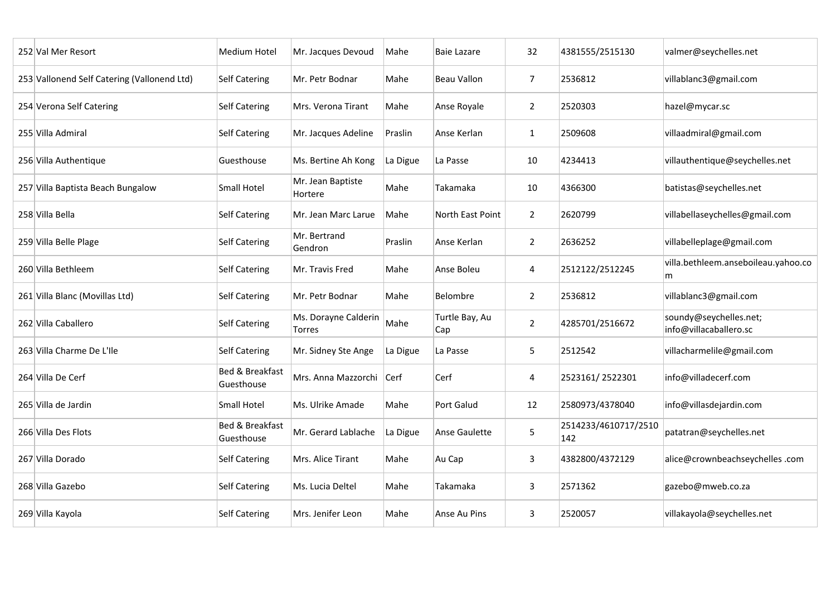| 252 Val Mer Resort                          | <b>Medium Hotel</b>                      | Mr. Jacques Devoud                    | Mahe     | <b>Baie Lazare</b>    | 32             | 4381555/2515130             | valmer@seychelles.net                            |
|---------------------------------------------|------------------------------------------|---------------------------------------|----------|-----------------------|----------------|-----------------------------|--------------------------------------------------|
| 253 Vallonend Self Catering (Vallonend Ltd) | <b>Self Catering</b>                     | Mr. Petr Bodnar                       | Mahe     | <b>Beau Vallon</b>    | $\overline{7}$ | 2536812                     | villablanc3@gmail.com                            |
| 254 Verona Self Catering                    | <b>Self Catering</b>                     | Mrs. Verona Tirant                    | Mahe     | Anse Royale           | $\overline{2}$ | 2520303                     | hazel@mycar.sc                                   |
| 255 Villa Admiral                           | <b>Self Catering</b>                     | Mr. Jacques Adeline                   | Praslin  | Anse Kerlan           | $\mathbf{1}$   | 2509608                     | villaadmiral@gmail.com                           |
| 256 Villa Authentique                       | Guesthouse                               | Ms. Bertine Ah Kong                   | La Digue | La Passe              | 10             | 4234413                     | villauthentique@seychelles.net                   |
| 257 Villa Baptista Beach Bungalow           | <b>Small Hotel</b>                       | Mr. Jean Baptiste<br>Hortere          | Mahe     | Takamaka              | 10             | 4366300                     | batistas@seychelles.net                          |
| 258 Villa Bella                             | <b>Self Catering</b>                     | Mr. Jean Marc Larue                   | Mahe     | North East Point      | $\overline{2}$ | 2620799                     | villabellaseychelles@gmail.com                   |
| 259 Villa Belle Plage                       | <b>Self Catering</b>                     | Mr. Bertrand<br>Gendron               | Praslin  | Anse Kerlan           | $\overline{2}$ | 2636252                     | villabelleplage@gmail.com                        |
| 260 Villa Bethleem                          | <b>Self Catering</b>                     | Mr. Travis Fred                       | Mahe     | Anse Boleu            | 4              | 2512122/2512245             | villa.bethleem.anseboileau.yahoo.co<br>m         |
| 261 Villa Blanc (Movillas Ltd)              | <b>Self Catering</b>                     | Mr. Petr Bodnar                       | Mahe     | Belombre              | $\overline{2}$ | 2536812                     | villablanc3@gmail.com                            |
| 262 Villa Caballero                         | <b>Self Catering</b>                     | Ms. Dorayne Calderin<br><b>Torres</b> | Mahe     | Turtle Bay, Au<br>Cap | $\overline{2}$ | 4285701/2516672             | soundy@seychelles.net;<br>info@villacaballero.sc |
| 263 Villa Charme De L'Ile                   | Self Catering                            | Mr. Sidney Ste Ange                   | La Digue | La Passe              | 5              | 2512542                     | villacharmelile@gmail.com                        |
| 264 Villa De Cerf                           | <b>Bed &amp; Breakfast</b><br>Guesthouse | Mrs. Anna Mazzorchi Cerf              |          | Cerf                  | 4              | 2523161/2522301             | info@villadecerf.com                             |
| 265 Villa de Jardin                         | <b>Small Hotel</b>                       | Ms. Ulrike Amade                      | Mahe     | <b>Port Galud</b>     | 12             | 2580973/4378040             | info@villasdejardin.com                          |
| 266 Villa Des Flots                         | Bed & Breakfast<br>Guesthouse            | Mr. Gerard Lablache                   | La Digue | Anse Gaulette         | 5              | 2514233/4610717/2510<br>142 | patatran@seychelles.net                          |
| 267 Villa Dorado                            | <b>Self Catering</b>                     | Mrs. Alice Tirant                     | Mahe     | Au Cap                | $\overline{3}$ | 4382800/4372129             | alice@crownbeachseychelles.com                   |
| 268 Villa Gazebo                            | <b>Self Catering</b>                     | Ms. Lucia Deltel                      | Mahe     | Takamaka              | $\mathbf{3}$   | 2571362                     | gazebo@mweb.co.za                                |
| 269 Villa Kayola                            | <b>Self Catering</b>                     | Mrs. Jenifer Leon                     | Mahe     | Anse Au Pins          | $\overline{3}$ | 2520057                     | villakayola@seychelles.net                       |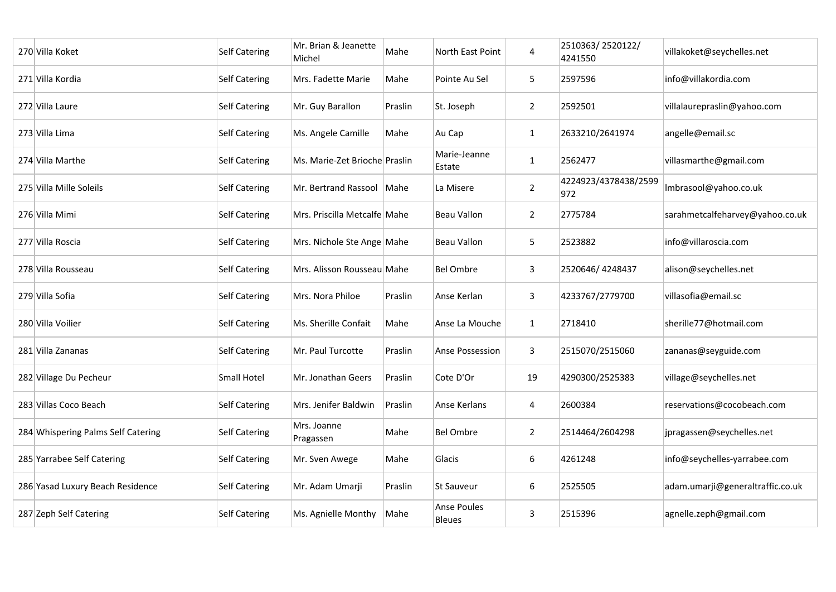| 270 Villa Koket                    | <b>Self Catering</b> | Mr. Brian & Jeanette<br>Michel | Mahe    | North East Point                    | $\overline{4}$ | 2510363/2520122/<br>4241550 | villakoket@seychelles.net        |
|------------------------------------|----------------------|--------------------------------|---------|-------------------------------------|----------------|-----------------------------|----------------------------------|
| 271 Villa Kordia                   | <b>Self Catering</b> | Mrs. Fadette Marie             | Mahe    | Pointe Au Sel                       | 5 <sup>5</sup> | 2597596                     | info@villakordia.com             |
| 272 Villa Laure                    | <b>Self Catering</b> | Mr. Guy Barallon               | Praslin | St. Joseph                          | $\overline{2}$ | 2592501                     | villalaurepraslin@yahoo.com      |
| 273 Villa Lima                     | <b>Self Catering</b> | Ms. Angele Camille             | Mahe    | Au Cap                              | $\mathbf{1}$   | 2633210/2641974             | angelle@email.sc                 |
| 274 Villa Marthe                   | <b>Self Catering</b> | Ms. Marie-Zet Brioche Praslin  |         | Marie-Jeanne<br>Estate              | $\mathbf{1}$   | 2562477                     | villasmarthe@gmail.com           |
| 275 Villa Mille Soleils            | <b>Self Catering</b> | Mr. Bertrand Rassool           | Mahe    | La Misere                           | $\overline{2}$ | 4224923/4378438/2599<br>972 | Imbrasool@yahoo.co.uk            |
| 276 Villa Mimi                     | <b>Self Catering</b> | Mrs. Priscilla Metcalfe Mahe   |         | <b>Beau Vallon</b>                  | $\overline{2}$ | 2775784                     | sarahmetcalfeharvey@yahoo.co.uk  |
| 277 Villa Roscia                   | <b>Self Catering</b> | Mrs. Nichole Ste Ange Mahe     |         | <b>Beau Vallon</b>                  | 5              | 2523882                     | info@villaroscia.com             |
| 278 Villa Rousseau                 | <b>Self Catering</b> | Mrs. Alisson Rousseau Mahe     |         | <b>Bel Ombre</b>                    | 3              | 2520646/4248437             | alison@seychelles.net            |
| 279 Villa Sofia                    | <b>Self Catering</b> | Mrs. Nora Philoe               | Praslin | Anse Kerlan                         | $\mathsf{3}$   | 4233767/2779700             | villasofia@email.sc              |
| 280 Villa Voilier                  | <b>Self Catering</b> | Ms. Sherille Confait           | Mahe    | Anse La Mouche                      | $\mathbf{1}$   | 2718410                     | sherille77@hotmail.com           |
| 281 Villa Zananas                  | Self Catering        | Mr. Paul Turcotte              | Praslin | <b>Anse Possession</b>              | 3              | 2515070/2515060             | zananas@seyguide.com             |
| 282 Village Du Pecheur             | <b>Small Hotel</b>   | Mr. Jonathan Geers             | Praslin | Cote D'Or                           | 19             | 4290300/2525383             | village@seychelles.net           |
| 283 Villas Coco Beach              | <b>Self Catering</b> | Mrs. Jenifer Baldwin           | Praslin | Anse Kerlans                        | 4              | 2600384                     | reservations@cocobeach.com       |
| 284 Whispering Palms Self Catering | <b>Self Catering</b> | Mrs. Joanne<br>Pragassen       | Mahe    | <b>Bel Ombre</b>                    | $\overline{2}$ | 2514464/2604298             | jpragassen@seychelles.net        |
| 285 Yarrabee Self Catering         | <b>Self Catering</b> | Mr. Sven Awege                 | Mahe    | Glacis                              | 6              | 4261248                     | info@seychelles-yarrabee.com     |
| 286 Yasad Luxury Beach Residence   | <b>Self Catering</b> | Mr. Adam Umarji                | Praslin | <b>St Sauveur</b>                   | 6              | 2525505                     | adam.umarji@generaltraffic.co.uk |
| 287 Zeph Self Catering             | <b>Self Catering</b> | Ms. Agnielle Monthy            | Mahe    | <b>Anse Poules</b><br><b>Bleues</b> | $\mathbf{3}$   | 2515396                     | agnelle.zeph@gmail.com           |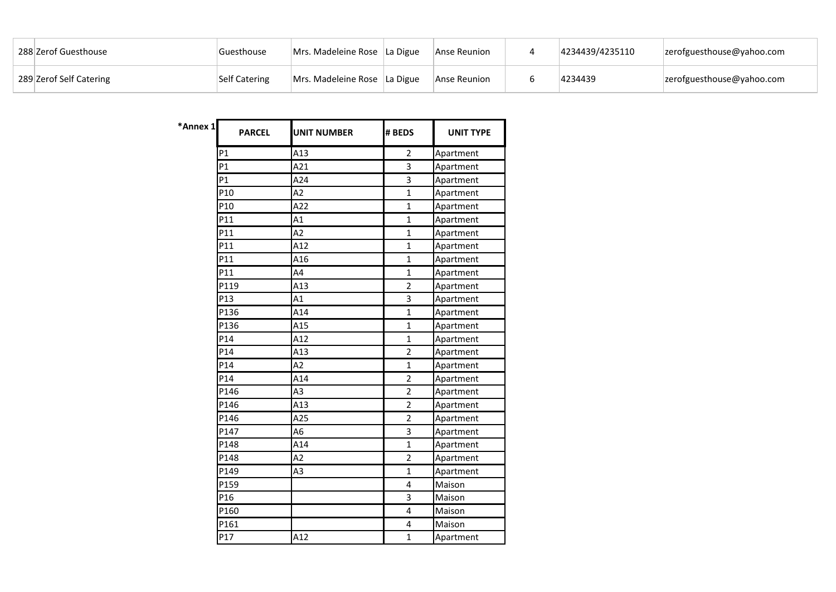| 288 Zerof Guesthouse    | Guesthouse           | Mrs. Madeleine Rose La Digue | Anse Reunion | 4234439/4235110 | zerofguesthouse@yahoo.com |
|-------------------------|----------------------|------------------------------|--------------|-----------------|---------------------------|
| 289 Zerof Self Catering | <b>Self Catering</b> | Mrs. Madeleine Rose La Digue | Anse Reunion | 4234439         | zerofguesthouse@yahoo.com |

| *Annex 1 | <b>PARCEL</b>  | <b>UNIT NUMBER</b> | # BEDS         | <b>UNIT TYPE</b> |
|----------|----------------|--------------------|----------------|------------------|
|          | P1             | A13                | $\overline{2}$ | Apartment        |
|          | P <sub>1</sub> | A21                | 3              | Apartment        |
|          | P1             | A24                | 3              | Apartment        |
|          | P10            | A2                 | $\overline{1}$ | Apartment        |
|          | P10            | A22                | $\mathbf{1}$   | Apartment        |
|          | P11            | A1                 | $\mathbf{1}$   | Apartment        |
|          | P11            | A2                 | $\mathbf{1}$   | Apartment        |
|          | P11            | A12                | $\overline{1}$ | Apartment        |
|          | P11            | A16                | $\mathbf{1}$   | Apartment        |
|          | P11            | A4                 | $\mathbf{1}$   | Apartment        |
|          | P119           | A13                | $\overline{2}$ | Apartment        |
|          | P13            | A1                 | 3              | Apartment        |
|          | P136           | A14                | $\overline{1}$ | Apartment        |
|          | P136           | A15                | $\mathbf{1}$   | Apartment        |
|          | P14            | A12                | $\mathbf{1}$   | Apartment        |
|          | P14            | A13                | $\overline{2}$ | Apartment        |
|          | P14            | A2                 | $\mathbf{1}$   | Apartment        |
|          | P14            | A14                | $\overline{2}$ | Apartment        |
|          | P146           | A3                 | $\overline{2}$ | Apartment        |
|          | P146           | A13                | $\overline{2}$ | Apartment        |
|          | P146           | A25                | $\overline{2}$ | Apartment        |
|          | P147           | A <sub>6</sub>     | 3              | Apartment        |
|          | P148           | A14                | $\mathbf{1}$   | Apartment        |
|          | P148           | A2                 | $\overline{2}$ | Apartment        |
|          | P149           | A3                 | $\mathbf 1$    | Apartment        |
|          | P159           |                    | 4              | Maison           |
|          | P16            |                    | 3              | Maison           |
|          | P160           |                    | 4              | Maison           |
|          | P161           |                    | $\overline{4}$ | Maison           |
|          | P17            | A12                | $\mathbf{1}$   | Apartment        |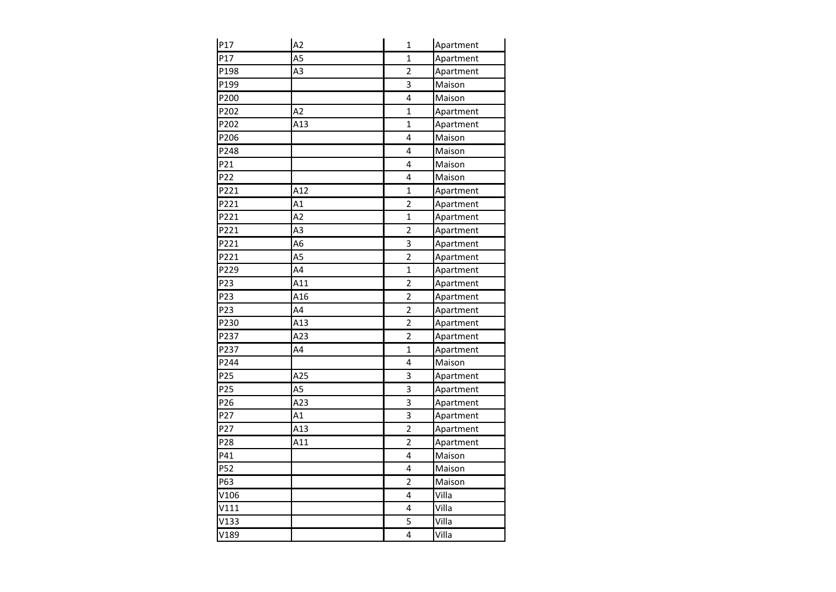| P17  | A2             | $\mathbf{1}$            | Apartment |
|------|----------------|-------------------------|-----------|
| P17  | A <sub>5</sub> | $\mathbf 1$             | Apartment |
| P198 | A <sub>3</sub> | $\overline{2}$          | Apartment |
| P199 |                | 3                       | Maison    |
| P200 |                | 4                       | Maison    |
| P202 | A2             | $\mathbf{1}$            | Apartment |
| P202 | A13            | $\mathbf{1}$            | Apartment |
| P206 |                | 4                       | Maison    |
| P248 |                | 4                       | Maison    |
| P21  |                | $\overline{\mathbf{4}}$ | Maison    |
| P22  |                | 4                       | Maison    |
| P221 | A12            | $\mathbf{1}$            | Apartment |
| P221 | A1             | $\overline{2}$          | Apartment |
| P221 | A2             | $\mathbf{1}$            | Apartment |
| P221 | A <sub>3</sub> | $\overline{2}$          | Apartment |
| P221 | A <sub>6</sub> | 3                       | Apartment |
| P221 | A <sub>5</sub> | $\overline{2}$          | Apartment |
| P229 | A4             | $\mathbf 1$             | Apartment |
| P23  | A11            | $\overline{2}$          | Apartment |
| P23  | A16            | $\overline{2}$          | Apartment |
| P23  | A4             | $\overline{2}$          | Apartment |
| P230 | A13            | $\overline{2}$          | Apartment |
| P237 | A23            | $\overline{2}$          | Apartment |
| P237 | A4             | $\mathbf{1}$            | Apartment |
| P244 |                | 4                       | Maison    |
| P25  | A25            | 3                       | Apartment |
| P25  | A5             | 3                       | Apartment |
| P26  | A23            | 3                       | Apartment |
| P27  | A1             | 3                       | Apartment |
| P27  | A13            | $\overline{2}$          | Apartment |
| P28  | A11            | $\overline{2}$          | Apartment |
| P41  |                | 4                       | Maison    |
| P52  |                | 4                       | Maison    |
| P63  |                | $\overline{2}$          | Maison    |
| V106 |                | 4                       | Villa     |
| V111 |                | 4                       | Villa     |
| V133 |                | 5                       | Villa     |
| V189 |                | 4                       | Villa     |